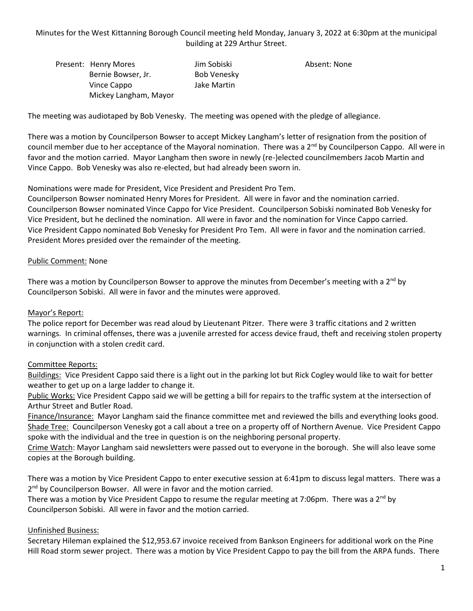Minutes for the West Kittanning Borough Council meeting held Monday, January 3, 2022 at 6:30pm at the municipal building at 229 Arthur Street.

Present: Henry Mores Manuel School Jim Sobiski Absent: None Bernie Bowser, Jr. Bob Venesky Vince Cappo Jake Martin Mickey Langham, Mayor

The meeting was audiotaped by Bob Venesky. The meeting was opened with the pledge of allegiance.

There was a motion by Councilperson Bowser to accept Mickey Langham's letter of resignation from the position of council member due to her acceptance of the Mayoral nomination. There was a  $2<sup>nd</sup>$  by Councilperson Cappo. All were in favor and the motion carried. Mayor Langham then swore in newly (re-)elected councilmembers Jacob Martin and Vince Cappo. Bob Venesky was also re-elected, but had already been sworn in.

Nominations were made for President, Vice President and President Pro Tem.

Councilperson Bowser nominated Henry Mores for President. All were in favor and the nomination carried. Councilperson Bowser nominated Vince Cappo for Vice President. Councilperson Sobiski nominated Bob Venesky for Vice President, but he declined the nomination. All were in favor and the nomination for Vince Cappo carried. Vice President Cappo nominated Bob Venesky for President Pro Tem. All were in favor and the nomination carried. President Mores presided over the remainder of the meeting.

### Public Comment: None

There was a motion by Councilperson Bowser to approve the minutes from December's meeting with a 2<sup>nd</sup> by Councilperson Sobiski. All were in favor and the minutes were approved.

#### Mayor's Report:

The police report for December was read aloud by Lieutenant Pitzer. There were 3 traffic citations and 2 written warnings. In criminal offenses, there was a juvenile arrested for access device fraud, theft and receiving stolen property in conjunction with a stolen credit card.

## Committee Reports:

Buildings: Vice President Cappo said there is a light out in the parking lot but Rick Cogley would like to wait for better weather to get up on a large ladder to change it.

Public Works: Vice President Cappo said we will be getting a bill for repairs to the traffic system at the intersection of Arthur Street and Butler Road.

Finance/Insurance: Mayor Langham said the finance committee met and reviewed the bills and everything looks good. Shade Tree: Councilperson Venesky got a call about a tree on a property off of Northern Avenue. Vice President Cappo spoke with the individual and the tree in question is on the neighboring personal property.

Crime Watch: Mayor Langham said newsletters were passed out to everyone in the borough. She will also leave some copies at the Borough building.

There was a motion by Vice President Cappo to enter executive session at 6:41pm to discuss legal matters. There was a 2<sup>nd</sup> by Councilperson Bowser. All were in favor and the motion carried.

There was a motion by Vice President Cappo to resume the regular meeting at 7:06pm. There was a 2<sup>nd</sup> by Councilperson Sobiski. All were in favor and the motion carried.

#### Unfinished Business:

Secretary Hileman explained the \$12,953.67 invoice received from Bankson Engineers for additional work on the Pine Hill Road storm sewer project. There was a motion by Vice President Cappo to pay the bill from the ARPA funds. There